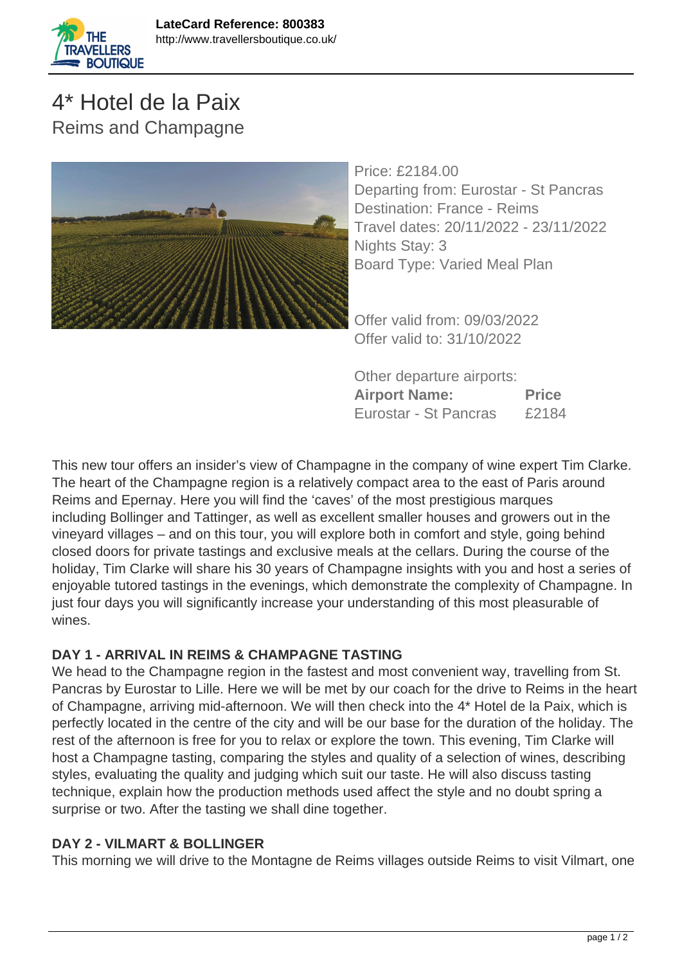

# 4\* Hotel de la Paix Reims and Champagne



Price: £2184.00 Departing from: Eurostar - St Pancras Destination: France - Reims Travel dates: 20/11/2022 - 23/11/2022 Nights Stay: 3 Board Type: Varied Meal Plan

Offer valid from: 09/03/2022 Offer valid to: 31/10/2022

Other departure airports: **Airport Name: Price** Eurostar - St Pancras £2184

This new tour offers an insider's view of Champagne in the company of wine expert Tim Clarke. The heart of the Champagne region is a relatively compact area to the east of Paris around Reims and Epernay. Here you will find the 'caves' of the most prestigious marques including Bollinger and Tattinger, as well as excellent smaller houses and growers out in the vineyard villages – and on this tour, you will explore both in comfort and style, going behind closed doors for private tastings and exclusive meals at the cellars. During the course of the holiday, Tim Clarke will share his 30 years of Champagne insights with you and host a series of enjoyable tutored tastings in the evenings, which demonstrate the complexity of Champagne. In just four days you will significantly increase your understanding of this most pleasurable of wines.

# **DAY 1 - ARRIVAL IN REIMS & CHAMPAGNE TASTING**

We head to the Champagne region in the fastest and most convenient way, travelling from St. Pancras by Eurostar to Lille. Here we will be met by our coach for the drive to Reims in the heart of Champagne, arriving mid-afternoon. We will then check into the 4\* Hotel de la Paix, which is perfectly located in the centre of the city and will be our base for the duration of the holiday. The rest of the afternoon is free for you to relax or explore the town. This evening, Tim Clarke will host a Champagne tasting, comparing the styles and quality of a selection of wines, describing styles, evaluating the quality and judging which suit our taste. He will also discuss tasting technique, explain how the production methods used affect the style and no doubt spring a surprise or two. After the tasting we shall dine together.

# **DAY 2 - VILMART & BOLLINGER**

This morning we will drive to the Montagne de Reims villages outside Reims to visit Vilmart, one